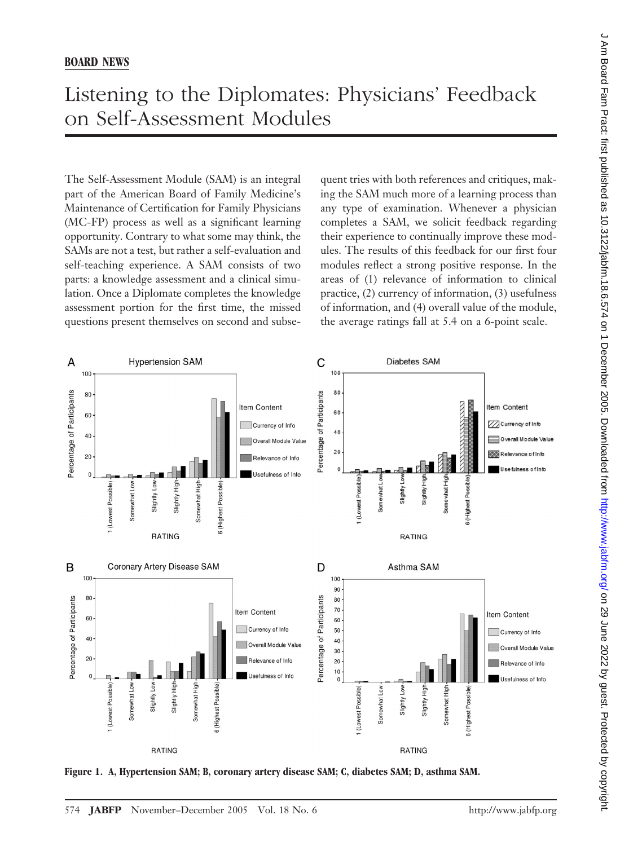## Listening to the Diplomates: Physicians' Feedback on Self-Assessment Modules

The Self-Assessment Module (SAM) is an integral part of the American Board of Family Medicine's Maintenance of Certification for Family Physicians (MC-FP) process as well as a significant learning opportunity. Contrary to what some may think, the SAMs are not a test, but rather a self-evaluation and self-teaching experience. A SAM consists of two parts: a knowledge assessment and a clinical simulation. Once a Diplomate completes the knowledge assessment portion for the first time, the missed questions present themselves on second and subsequent tries with both references and critiques, making the SAM much more of a learning process than any type of examination. Whenever a physician completes a SAM, we solicit feedback regarding their experience to continually improve these modules. The results of this feedback for our first four modules reflect a strong positive response. In the areas of (1) relevance of information to clinical practice, (2) currency of information, (3) usefulness of information, and (4) overall value of the module, the average ratings fall at 5.4 on a 6-point scale.



**Figure 1. A, Hypertension SAM; B, coronary artery disease SAM; C, diabetes SAM; D, asthma SAM.**